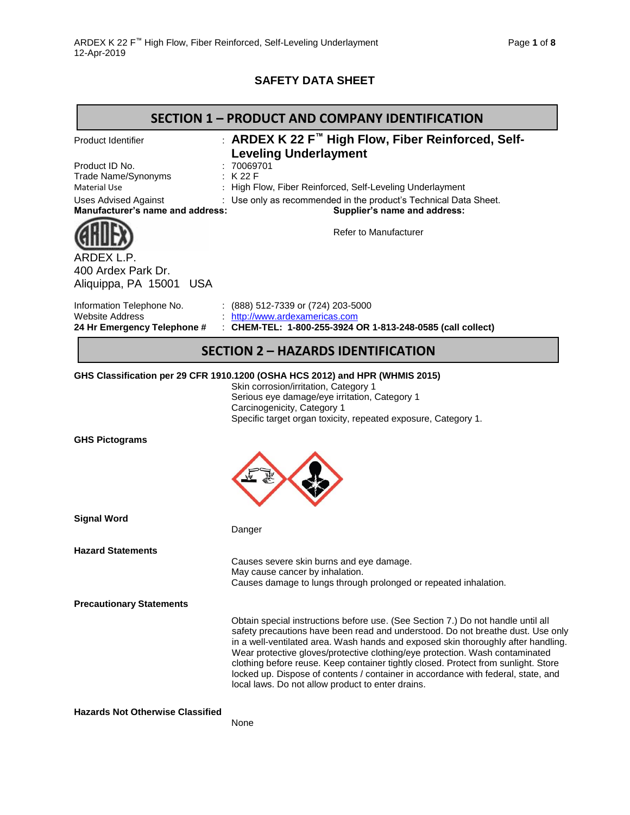## **SAFETY DATA SHEET**

|                                                                                                                                                              | <b>SECTION 1 - PRODUCT AND COMPANY IDENTIFICATION</b>                                                                                                                                                                                                                                                                                                                                                                                                                                                                                                                    |
|--------------------------------------------------------------------------------------------------------------------------------------------------------------|--------------------------------------------------------------------------------------------------------------------------------------------------------------------------------------------------------------------------------------------------------------------------------------------------------------------------------------------------------------------------------------------------------------------------------------------------------------------------------------------------------------------------------------------------------------------------|
| <b>Product Identifier</b><br>Product ID No.<br>Trade Name/Synonyms<br><b>Material Use</b><br><b>Uses Advised Against</b><br>Manufacturer's name and address: | : ARDEX K 22 F™ High Flow, Fiber Reinforced, Self-<br><b>Leveling Underlayment</b><br>: 70069701<br>K 22 F<br>High Flow, Fiber Reinforced, Self-Leveling Underlayment<br>: Use only as recommended in the product's Technical Data Sheet.<br>Supplier's name and address:<br>Refer to Manufacturer                                                                                                                                                                                                                                                                       |
| ARDEX L.P.<br>400 Ardex Park Dr.<br>Aliquippa, PA 15001 USA                                                                                                  |                                                                                                                                                                                                                                                                                                                                                                                                                                                                                                                                                                          |
| Information Telephone No.<br><b>Website Address</b><br>24 Hr Emergency Telephone #                                                                           | $(888)$ 512-7339 or (724) 203-5000<br>http://www.ardexamericas.com<br>: CHEM-TEL: 1-800-255-3924 OR 1-813-248-0585 (call collect)                                                                                                                                                                                                                                                                                                                                                                                                                                        |
|                                                                                                                                                              | <b>SECTION 2 - HAZARDS IDENTIFICATION</b>                                                                                                                                                                                                                                                                                                                                                                                                                                                                                                                                |
| <b>GHS Pictograms</b>                                                                                                                                        | GHS Classification per 29 CFR 1910.1200 (OSHA HCS 2012) and HPR (WHMIS 2015)<br>Skin corrosion/irritation, Category 1<br>Serious eye damage/eye irritation, Category 1<br>Carcinogenicity, Category 1<br>Specific target organ toxicity, repeated exposure, Category 1.                                                                                                                                                                                                                                                                                                  |
| <b>Signal Word</b>                                                                                                                                           | Danger                                                                                                                                                                                                                                                                                                                                                                                                                                                                                                                                                                   |
| <b>Hazard Statements</b>                                                                                                                                     | Causes severe skin burns and eye damage.<br>May cause cancer by inhalation.<br>Causes damage to lungs through prolonged or repeated inhalation.                                                                                                                                                                                                                                                                                                                                                                                                                          |
| <b>Precautionary Statements</b>                                                                                                                              |                                                                                                                                                                                                                                                                                                                                                                                                                                                                                                                                                                          |
|                                                                                                                                                              | Obtain special instructions before use. (See Section 7.) Do not handle until all<br>safety precautions have been read and understood. Do not breathe dust. Use only<br>in a well-ventilated area. Wash hands and exposed skin thoroughly after handling.<br>Wear protective gloves/protective clothing/eye protection. Wash contaminated<br>clothing before reuse. Keep container tightly closed. Protect from sunlight. Store<br>locked up. Dispose of contents / container in accordance with federal, state, and<br>local laws. Do not allow product to enter drains. |
| <b>Hazards Not Otherwise Classified</b>                                                                                                                      | None                                                                                                                                                                                                                                                                                                                                                                                                                                                                                                                                                                     |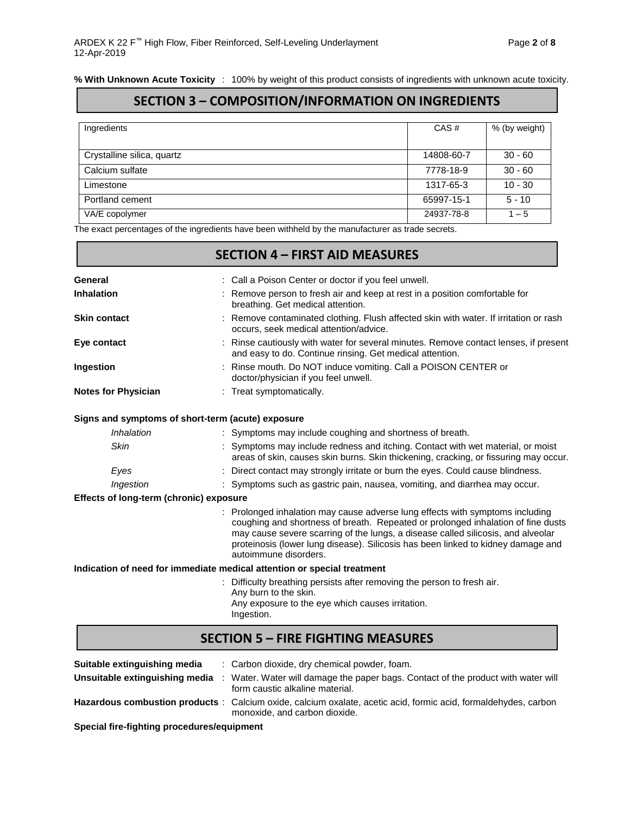## **SECTION 3 – COMPOSITION/INFORMATION ON INGREDIENTS**

| Ingredients                | CAS#       | % (by weight) |
|----------------------------|------------|---------------|
|                            |            |               |
|                            |            |               |
| Crystalline silica, quartz | 14808-60-7 | $30 - 60$     |
|                            |            |               |
| Calcium sulfate            | 7778-18-9  | $30 - 60$     |
|                            |            |               |
| Limestone                  | 1317-65-3  | $10 - 30$     |
|                            |            |               |
| Portland cement            | 65997-15-1 | $5 - 10$      |
|                            |            |               |
| VA/E copolymer             | 24937-78-8 | $1 - 5$       |
|                            |            |               |

The exact percentages of the ingredients have been withheld by the manufacturer as trade secrets.

|                                         | <b>SECTION 4 - FIRST AID MEASURES</b>                                                                                                                                                                                                                                                                                                                            |
|-----------------------------------------|------------------------------------------------------------------------------------------------------------------------------------------------------------------------------------------------------------------------------------------------------------------------------------------------------------------------------------------------------------------|
| General                                 | : Call a Poison Center or doctor if you feel unwell.                                                                                                                                                                                                                                                                                                             |
| <b>Inhalation</b>                       | Remove person to fresh air and keep at rest in a position comfortable for<br>breathing. Get medical attention.                                                                                                                                                                                                                                                   |
| <b>Skin contact</b>                     | Remove contaminated clothing. Flush affected skin with water. If irritation or rash<br>occurs, seek medical attention/advice.                                                                                                                                                                                                                                    |
| Eye contact                             | Rinse cautiously with water for several minutes. Remove contact lenses, if present<br>and easy to do. Continue rinsing. Get medical attention.                                                                                                                                                                                                                   |
| Ingestion                               | : Rinse mouth. Do NOT induce vomiting. Call a POISON CENTER or<br>doctor/physician if you feel unwell.                                                                                                                                                                                                                                                           |
| <b>Notes for Physician</b>              | : Treat symptomatically.                                                                                                                                                                                                                                                                                                                                         |
|                                         | Signs and symptoms of short-term (acute) exposure                                                                                                                                                                                                                                                                                                                |
| Inhalation                              | : Symptoms may include coughing and shortness of breath.                                                                                                                                                                                                                                                                                                         |
| <b>Skin</b>                             | Symptoms may include redness and itching. Contact with wet material, or moist<br>areas of skin, causes skin burns. Skin thickening, cracking, or fissuring may occur.                                                                                                                                                                                            |
| Eyes                                    | Direct contact may strongly irritate or burn the eyes. Could cause blindness.                                                                                                                                                                                                                                                                                    |
| Ingestion                               | : Symptoms such as gastric pain, nausea, vomiting, and diarrhea may occur.                                                                                                                                                                                                                                                                                       |
| Effects of long-term (chronic) exposure |                                                                                                                                                                                                                                                                                                                                                                  |
|                                         | Prolonged inhalation may cause adverse lung effects with symptoms including<br>coughing and shortness of breath. Repeated or prolonged inhalation of fine dusts<br>may cause severe scarring of the lungs, a disease called silicosis, and alveolar<br>proteinosis (lower lung disease). Silicosis has been linked to kidney damage and<br>autoimmune disorders. |
|                                         | Indication of need for immediate medical attention or special treatment                                                                                                                                                                                                                                                                                          |
|                                         | Difficulty breathing persists after removing the person to fresh air.<br>Any burn to the skin.<br>Any exposure to the eye which causes irritation.<br>Ingestion.                                                                                                                                                                                                 |
|                                         | <b>SECTION 5 - FIRE FIGHTING MEASURES</b>                                                                                                                                                                                                                                                                                                                        |

| Suitable extinguishing media | : Carbon dioxide, dry chemical powder, foam.                                                                                                               |
|------------------------------|------------------------------------------------------------------------------------------------------------------------------------------------------------|
|                              | <b>Unsuitable extinguishing media</b> : Water. Water will damage the paper bags. Contact of the product with water will<br>form caustic alkaline material. |
|                              | Hazardous combustion products: Calcium oxide, calcium oxalate, acetic acid, formic acid, formaldehydes, carbon<br>monoxide, and carbon dioxide.            |

**Special fire-fighting procedures/equipment**

F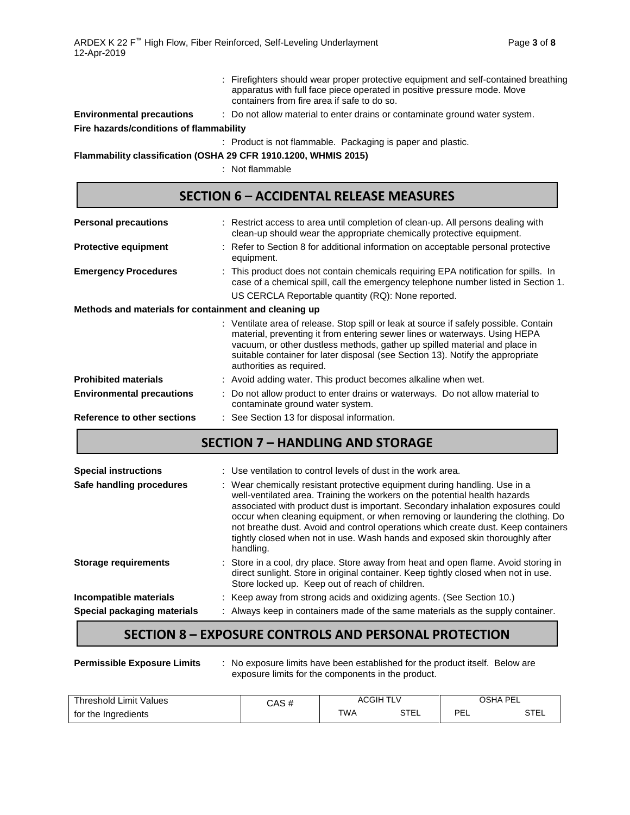|                                         | : Firefighters should wear proper protective equipment and self-contained breathing<br>apparatus with full face piece operated in positive pressure mode. Move<br>containers from fire area if safe to do so. |
|-----------------------------------------|---------------------------------------------------------------------------------------------------------------------------------------------------------------------------------------------------------------|
| <b>Environmental precautions</b>        | : Do not allow material to enter drains or contaminate ground water system.                                                                                                                                   |
| Fire hazards/conditions of flammability |                                                                                                                                                                                                               |
|                                         | : Product is not flammable. Packaging is paper and plastic.                                                                                                                                                   |

**Flammability classification (OSHA 29 CFR 1910.1200, WHMIS 2015)**

: Not flammable

| <b>SECTION 6 - ACCIDENTAL RELEASE MEASURES</b>        |                                                                                                                                                                                                                                                                                                                                                                 |  |  |  |  |
|-------------------------------------------------------|-----------------------------------------------------------------------------------------------------------------------------------------------------------------------------------------------------------------------------------------------------------------------------------------------------------------------------------------------------------------|--|--|--|--|
| <b>Personal precautions</b>                           | : Restrict access to area until completion of clean-up. All persons dealing with<br>clean-up should wear the appropriate chemically protective equipment.                                                                                                                                                                                                       |  |  |  |  |
| <b>Protective equipment</b>                           | : Refer to Section 8 for additional information on acceptable personal protective<br>equipment.                                                                                                                                                                                                                                                                 |  |  |  |  |
| <b>Emergency Procedures</b>                           | : This product does not contain chemicals requiring EPA notification for spills. In<br>case of a chemical spill, call the emergency telephone number listed in Section 1.<br>US CERCLA Reportable quantity (RQ): None reported.                                                                                                                                 |  |  |  |  |
| Methods and materials for containment and cleaning up |                                                                                                                                                                                                                                                                                                                                                                 |  |  |  |  |
|                                                       | : Ventilate area of release. Stop spill or leak at source if safely possible. Contain<br>material, preventing it from entering sewer lines or waterways. Using HEPA<br>vacuum, or other dustless methods, gather up spilled material and place in<br>suitable container for later disposal (see Section 13). Notify the appropriate<br>authorities as required. |  |  |  |  |
| <b>Prohibited materials</b>                           | : Avoid adding water. This product becomes alkaline when wet.                                                                                                                                                                                                                                                                                                   |  |  |  |  |
| <b>Environmental precautions</b>                      | : Do not allow product to enter drains or waterways. Do not allow material to<br>contaminate ground water system.                                                                                                                                                                                                                                               |  |  |  |  |

### **Reference to other sections** : See Section 13 for disposal information.

# **SECTION 7 – HANDLING AND STORAGE**

| <b>Special instructions</b>                           | : Use ventilation to control levels of dust in the work area.                                                                                                                                                                                                                                                                                                                                                                                                                                                   |
|-------------------------------------------------------|-----------------------------------------------------------------------------------------------------------------------------------------------------------------------------------------------------------------------------------------------------------------------------------------------------------------------------------------------------------------------------------------------------------------------------------------------------------------------------------------------------------------|
| Safe handling procedures                              | : Wear chemically resistant protective equipment during handling. Use in a<br>well-ventilated area. Training the workers on the potential health hazards<br>associated with product dust is important. Secondary inhalation exposures could<br>occur when cleaning equipment, or when removing or laundering the clothing. Do<br>not breathe dust. Avoid and control operations which create dust. Keep containers<br>tightly closed when not in use. Wash hands and exposed skin thoroughly after<br>handling. |
| <b>Storage requirements</b>                           | : Store in a cool, dry place. Store away from heat and open flame. Avoid storing in<br>direct sunlight. Store in original container. Keep tightly closed when not in use.<br>Store locked up. Keep out of reach of children.                                                                                                                                                                                                                                                                                    |
| Incompatible materials<br>Special packaging materials | : Keep away from strong acids and oxidizing agents. (See Section 10.)<br>: Always keep in containers made of the same materials as the supply container.                                                                                                                                                                                                                                                                                                                                                        |

### **SECTION 8 – EXPOSURE CONTROLS AND PERSONAL PROTECTION**

| <b>Permissible Exposure Limits</b> | No exposure limits have been established for the product itself. Below are |  |
|------------------------------------|----------------------------------------------------------------------------|--|
|                                    | exposure limits for the components in the product.                         |  |

| Threshold Limit Values | CAS # | ACGIH      | $\overline{\phantom{a}}$<br>╹┕Ѵ |          | OSHA PEL |
|------------------------|-------|------------|---------------------------------|----------|----------|
| for the Ingredients    |       | <b>TWA</b> | STEL                            | РF<br>ᄂᄂ | STEL     |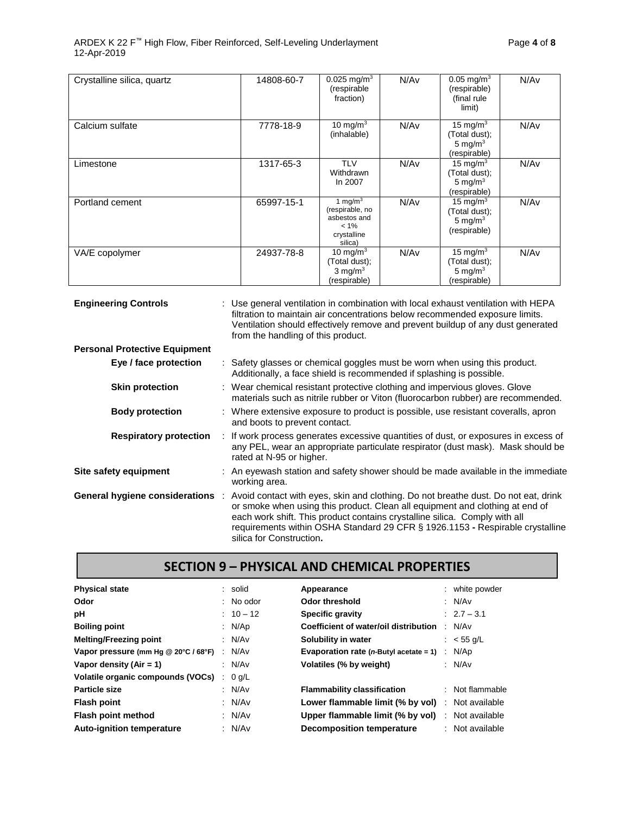| Crystalline silica, quartz | 14808-60-7 | $0.025 \,\mathrm{mg/m^3}$<br>(respirable<br>fraction)                              | N/Av | $0.05 \,\mathrm{mg/m^3}$<br>(respirable)<br>(final rule<br>limit) | N/Av |
|----------------------------|------------|------------------------------------------------------------------------------------|------|-------------------------------------------------------------------|------|
| Calcium sulfate            | 7778-18-9  | 10 mg/m $3$<br>(inhalable)                                                         | N/Av | 15 mg/m $3$<br>(Total dust);<br>5 mg/ $m3$<br>(respirable)        | N/Av |
| Limestone                  | 1317-65-3  | <b>TLV</b><br>Withdrawn<br>In 2007                                                 | N/Av | 15 mg/m $3$<br>(Total dust);<br>5 mg/m $3$<br>(respirable)        | N/Av |
| Portland cement            | 65997-15-1 | 1 mg/m $3$<br>(respirable, no<br>asbestos and<br>$< 1\%$<br>crystalline<br>silica) | N/Av | 15 mg/m $3$<br>(Total dust);<br>5 mg/ $m3$<br>(respirable)        | N/Av |
| VA/E copolymer             | 24937-78-8 | 10 mg/m $3$<br>Total dust);<br>$3$ mg/m <sup>3</sup><br>(respirable)               | N/Av | 15 mg/m $3$<br>(Total dust);<br>5 mg/ $m3$<br>(respirable)        | N/Av |

| <b>Engineering Controls</b>          | : Use general ventilation in combination with local exhaust ventilation with HEPA<br>filtration to maintain air concentrations below recommended exposure limits.<br>Ventilation should effectively remove and prevent buildup of any dust generated<br>from the handling of this product.                                                                    |  |  |  |
|--------------------------------------|---------------------------------------------------------------------------------------------------------------------------------------------------------------------------------------------------------------------------------------------------------------------------------------------------------------------------------------------------------------|--|--|--|
| <b>Personal Protective Equipment</b> |                                                                                                                                                                                                                                                                                                                                                               |  |  |  |
| Eye / face protection                | : Safety glasses or chemical goggles must be worn when using this product.<br>Additionally, a face shield is recommended if splashing is possible.                                                                                                                                                                                                            |  |  |  |
| <b>Skin protection</b>               | : Wear chemical resistant protective clothing and impervious gloves. Glove<br>materials such as nitrile rubber or Viton (fluorocarbon rubber) are recommended.                                                                                                                                                                                                |  |  |  |
| <b>Body protection</b>               | : Where extensive exposure to product is possible, use resistant coveralls, apron<br>and boots to prevent contact.                                                                                                                                                                                                                                            |  |  |  |
| <b>Respiratory protection</b>        | : If work process generates excessive quantities of dust, or exposures in excess of<br>any PEL, wear an appropriate particulate respirator (dust mask). Mask should be<br>rated at N-95 or higher.                                                                                                                                                            |  |  |  |
| Site safety equipment                | : An eyewash station and safety shower should be made available in the immediate<br>working area.                                                                                                                                                                                                                                                             |  |  |  |
| General hygiene considerations :     | Avoid contact with eyes, skin and clothing. Do not breathe dust. Do not eat, drink<br>or smoke when using this product. Clean all equipment and clothing at end of<br>each work shift. This product contains crystalline silica. Comply with all<br>requirements within OSHA Standard 29 CFR § 1926.1153 - Respirable crystalline<br>silica for Construction. |  |  |  |

### **SECTION 9 – PHYSICAL AND CHEMICAL PROPERTIES**

| <b>Physical state</b>                       | : solid     | Appearance                                 |        | : white powder  |
|---------------------------------------------|-------------|--------------------------------------------|--------|-----------------|
| Odor                                        | $:$ No odor | Odor threshold                             |        | : $N/Av$        |
| рH                                          | $: 10 - 12$ | <b>Specific gravity</b>                    |        | $: 2.7 - 3.1$   |
| <b>Boiling point</b>                        | : $N/Ap$    | Coefficient of water/oil distribution      | ÷      | N/Av            |
| <b>Melting/Freezing point</b>               | : N/Av      | Solubility in water                        |        | : $<$ 55 g/L    |
| Vapor pressure (mm Hg @ 20°C / 68°F) : N/Av |             | Evaporation rate ( $n$ -Butyl acetate = 1) | $\sim$ | N/Ap            |
| Vapor density (Air = 1)                     | : N/Av      | Volatiles (% by weight)                    |        | : N/Av          |
| Volatile organic compounds (VOCs) : 0 g/L   |             |                                            |        |                 |
| Particle size                               | : N/Av      | <b>Flammability classification</b>         |        | : Not flammable |
| <b>Flash point</b>                          | : N/Av      | Lower flammable limit (% by vol)           |        | Not available   |
| Flash point method                          | : $N/Av$    | Upper flammable limit (% by vol)           | ÷      | Not available   |
| <b>Auto-ignition temperature</b>            | : $N/Av$    | <b>Decomposition temperature</b>           |        | Not available   |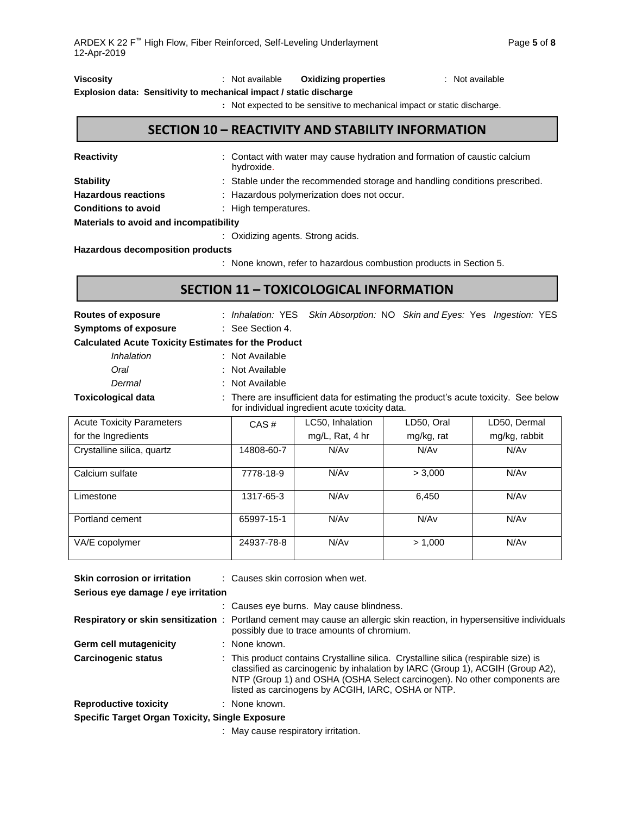| Viscosity |                                                                     | Not available | <b>Oxidizing properties</b> | : Not available |
|-----------|---------------------------------------------------------------------|---------------|-----------------------------|-----------------|
|           | Explosion data: Sensitivity to mechanical impact / static discharge |               |                             |                 |

**:** Not expected to be sensitive to mechanical impact or static discharge.

## **SECTION 10 – REACTIVITY AND STABILITY INFORMATION**

| <b>Reactivity</b>                      | : Contact with water may cause hydration and formation of caustic calcium<br>hydroxide. |
|----------------------------------------|-----------------------------------------------------------------------------------------|
| <b>Stability</b>                       | : Stable under the recommended storage and handling conditions prescribed.              |
| <b>Hazardous reactions</b>             | : Hazardous polymerization does not occur.                                              |
| <b>Conditions to avoid</b>             | : High temperatures.                                                                    |
| Materials to avoid and incompatibility |                                                                                         |

: Oxidizing agents. Strong acids.

**Hazardous decomposition products**

: None known, refer to hazardous combustion products in Section 5.

## **SECTION 11 – TOXICOLOGICAL INFORMATION**

| <b>Routes of exposure</b><br><b>Symptoms of exposure</b>                                                                                                            | : Inhalation: YES<br>: See Section 4. |                  |            | Skin Absorption: NO Skin and Eyes: Yes Ingestion: YES |  |  |  |  |  |  |
|---------------------------------------------------------------------------------------------------------------------------------------------------------------------|---------------------------------------|------------------|------------|-------------------------------------------------------|--|--|--|--|--|--|
| <b>Calculated Acute Toxicity Estimates for the Product</b>                                                                                                          |                                       |                  |            |                                                       |  |  |  |  |  |  |
| Inhalation                                                                                                                                                          | : Not Available                       |                  |            |                                                       |  |  |  |  |  |  |
| Oral                                                                                                                                                                | : Not Available                       |                  |            |                                                       |  |  |  |  |  |  |
| Dermal                                                                                                                                                              | : Not Available                       |                  |            |                                                       |  |  |  |  |  |  |
| <b>Toxicological data</b><br>: There are insufficient data for estimating the product's acute toxicity. See below<br>for individual ingredient acute toxicity data. |                                       |                  |            |                                                       |  |  |  |  |  |  |
| <b>Acute Toxicity Parameters</b>                                                                                                                                    | CAS#                                  | LC50, Inhalation | LD50, Oral | LD50, Dermal                                          |  |  |  |  |  |  |
| for the Ingredients                                                                                                                                                 |                                       | mg/L, Rat, 4 hr  | mg/kg, rat |                                                       |  |  |  |  |  |  |
| Crystalline silica, quartz                                                                                                                                          | 14808-60-7                            | N/Av             | N/Av       | N/Av                                                  |  |  |  |  |  |  |
| Calcium sulfate                                                                                                                                                     | 7778-18-9                             | N/Av             | > 3,000    | N/Av                                                  |  |  |  |  |  |  |
| Limestone                                                                                                                                                           | 1317-65-3                             | N/Av             | 6,450      | N/Av                                                  |  |  |  |  |  |  |
| Portland cement                                                                                                                                                     | 65997-15-1                            | N/Av             | N/Av       | N/Av                                                  |  |  |  |  |  |  |
| VA/E copolymer                                                                                                                                                      | 24937-78-8                            | N/Av             | > 1,000    | N/Av                                                  |  |  |  |  |  |  |

| <b>Skin corrosion or irritation</b>                    | : Causes skin corrosion when wet.                                                                                                                                                                                                                                                                      |
|--------------------------------------------------------|--------------------------------------------------------------------------------------------------------------------------------------------------------------------------------------------------------------------------------------------------------------------------------------------------------|
| Serious eye damage / eye irritation                    |                                                                                                                                                                                                                                                                                                        |
|                                                        | : Causes eye burns. May cause blindness.                                                                                                                                                                                                                                                               |
|                                                        | Respiratory or skin sensitization : Portland cement may cause an allergic skin reaction, in hypersensitive individuals<br>possibly due to trace amounts of chromium.                                                                                                                                   |
| Germ cell mutagenicity                                 | : None known.                                                                                                                                                                                                                                                                                          |
| <b>Carcinogenic status</b>                             | : This product contains Crystalline silica. Crystalline silica (respirable size) is<br>classified as carcinogenic by inhalation by IARC (Group 1), ACGIH (Group A2),<br>NTP (Group 1) and OSHA (OSHA Select carcinogen). No other components are<br>listed as carcinogens by ACGIH, IARC, OSHA or NTP. |
| <b>Reproductive toxicity</b>                           | : None known.                                                                                                                                                                                                                                                                                          |
| <b>Specific Target Organ Toxicity, Single Exposure</b> |                                                                                                                                                                                                                                                                                                        |
|                                                        | and the contract of the contract of the contract of the contract of the contract of the contract of the contract of                                                                                                                                                                                    |

: May cause respiratory irritation.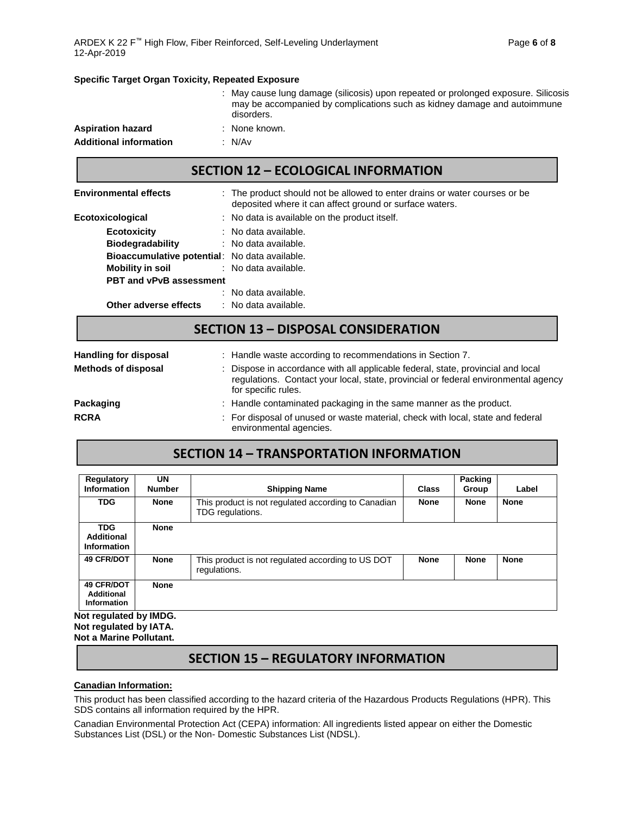### **Specific Target Organ Toxicity, Repeated Exposure**

|                               | : May cause lung damage (silicosis) upon repeated or prolonged exposure. Silicosis<br>may be accompanied by complications such as kidney damage and autoimmune<br>disorders. |
|-------------------------------|------------------------------------------------------------------------------------------------------------------------------------------------------------------------------|
| <b>Aspiration hazard</b>      | : None known.                                                                                                                                                                |
| <b>Additional information</b> | : N/Av                                                                                                                                                                       |

## **SECTION 12 – ECOLOGICAL INFORMATION**

| <b>Environmental effects</b>                         | : The product should not be allowed to enter drains or water courses or be<br>deposited where it can affect ground or surface waters. |
|------------------------------------------------------|---------------------------------------------------------------------------------------------------------------------------------------|
| Ecotoxicological                                     | : No data is available on the product itself.                                                                                         |
| <b>Ecotoxicity</b>                                   | : No data available.                                                                                                                  |
| <b>Biodegradability</b>                              | : No data available.                                                                                                                  |
| <b>Bioaccumulative potential:</b> No data available. |                                                                                                                                       |
| Mobility in soil                                     | : No data available.                                                                                                                  |
| <b>PBT and vPvB assessment</b>                       |                                                                                                                                       |
|                                                      | : No data available.                                                                                                                  |
| Other adverse effects                                | : No data available.                                                                                                                  |
|                                                      |                                                                                                                                       |

### **SECTION 13 – DISPOSAL CONSIDERATION**

| <b>Handling for disposal</b> | : Handle waste according to recommendations in Section 7.                                                                                                                                     |
|------------------------------|-----------------------------------------------------------------------------------------------------------------------------------------------------------------------------------------------|
| <b>Methods of disposal</b>   | : Dispose in accordance with all applicable federal, state, provincial and local<br>regulations. Contact your local, state, provincial or federal environmental agency<br>for specific rules. |
| Packaging                    | : Handle contaminated packaging in the same manner as the product.                                                                                                                            |
| <b>RCRA</b>                  | : For disposal of unused or waste material, check with local, state and federal<br>environmental agencies.                                                                                    |

## **SECTION 14 – TRANSPORTATION INFORMATION**

| Regulatory<br><b>Information</b>                      | <b>UN</b><br><b>Number</b> | <b>Shipping Name</b>                                                    | <b>Class</b> | Packing<br>Group | Label       |
|-------------------------------------------------------|----------------------------|-------------------------------------------------------------------------|--------------|------------------|-------------|
| <b>TDG</b>                                            | <b>None</b>                | This product is not regulated according to Canadian<br>TDG regulations. | <b>None</b>  | <b>None</b>      | <b>None</b> |
| <b>TDG</b><br><b>Additional</b><br><b>Information</b> | <b>None</b>                |                                                                         |              |                  |             |
| <b>49 CFR/DOT</b>                                     | <b>None</b>                | This product is not regulated according to US DOT<br>regulations.       | <b>None</b>  | <b>None</b>      | <b>None</b> |
| <b>49 CFR/DOT</b><br>Additional<br>Information        | <b>None</b>                |                                                                         |              |                  |             |

**Not regulated by IATA. Not a Marine Pollutant.**

## **SECTION 15 – REGULATORY INFORMATION**

### **Canadian Information:**

This product has been classified according to the hazard criteria of the Hazardous Products Regulations (HPR). This SDS contains all information required by the HPR.

Canadian Environmental Protection Act (CEPA) information: All ingredients listed appear on either the Domestic Substances List (DSL) or the Non- Domestic Substances List (NDSL).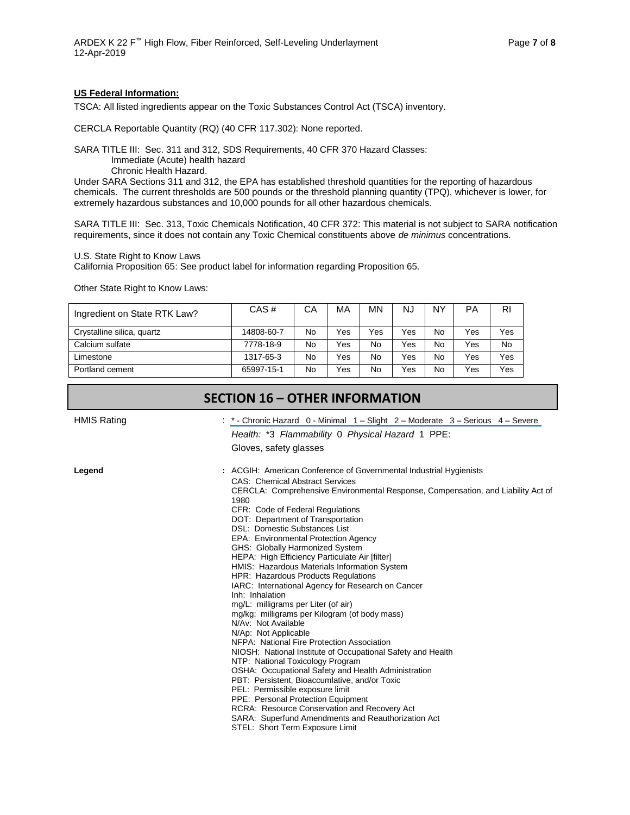### **US Federal Information:**

TSCA: All listed ingredients appear on the Toxic Substances Control Act (TSCA) inventory.

CERCLA Reportable Quantity (RQ) (40 CFR 117.302): None reported.

SARA TITLE III: Sec. 311 and 312, SDS Requirements, 40 CFR 370 Hazard Classes:

Immediate (Acute) health hazard

Chronic Health Hazard.

Under SARA Sections 311 and 312, the EPA has established threshold quantities for the reporting of hazardous chemicals. The current thresholds are 500 pounds or the threshold planning quantity (TPQ), whichever is lower, for extremely hazardous substances and 10,000 pounds for all other hazardous chemicals.

SARA TITLE III: Sec. 313, Toxic Chemicals Notification, 40 CFR 372: This material is not subject to SARA notification requirements, since it does not contain any Toxic Chemical constituents above *de minimus* concentrations.

U.S. State Right to Know Laws

California Proposition 65: See product label for information regarding Proposition 65.

Other State Right to Know Laws:

| Ingredient on State RTK Law? | CAS#       | CА | MA  | MΝ  | <b>NJ</b> | NY | PA  | <b>RI</b> |
|------------------------------|------------|----|-----|-----|-----------|----|-----|-----------|
| Crystalline silica, quartz   | 14808-60-7 | No | Yes | Yes | Yes       | No | Yes | Yes       |
| Calcium sulfate              | 7778-18-9  | No | Yes | No  | Yes       | No | Yes | <b>No</b> |
| Limestone                    | 1317-65-3  | No | Yes | No  | Yes       | No | Yes | Yes       |
| Portland cement              | 65997-15-1 | No | Yes | No  | Yes       | No | Yes | Yes       |

### **SECTION 16 – OTHER INFORMATION**

HMIS Rating The Severe : \* - Chronic Hazard 0 - Minimal 1 – Slight 2 – Moderate 3 – Serious 4 – Severe

*Health:* \*3 *Flammability* 0 *Physical Hazard* 1 PPE:

Gloves, safety glasses

**Legend :** ACGIH: American Conference of Governmental Industrial Hygienists

CAS: Chemical Abstract Services CERCLA: Comprehensive Environmental Response, Compensation, and Liability Act of 1980 CFR: Code of Federal Regulations DOT: Department of Transportation DSL: Domestic Substances List EPA: Environmental Protection Agency GHS: Globally Harmonized System HEPA: High Efficiency Particulate Air [filter] HMIS: Hazardous Materials Information System HPR: Hazardous Products Regulations IARC: International Agency for Research on Cancer Inh: Inhalation mg/L: milligrams per Liter (of air) mg/kg: milligrams per Kilogram (of body mass) N/Av: Not Available N/Ap: Not Applicable NFPA: National Fire Protection Association NIOSH: National Institute of Occupational Safety and Health NTP: National Toxicology Program OSHA: Occupational Safety and Health Administration PBT: Persistent, Bioaccumlative, and/or Toxic PEL: Permissible exposure limit PPE: Personal Protection Equipment RCRA: Resource Conservation and Recovery Act SARA: Superfund Amendments and Reauthorization Act STEL: Short Term Exposure Limit